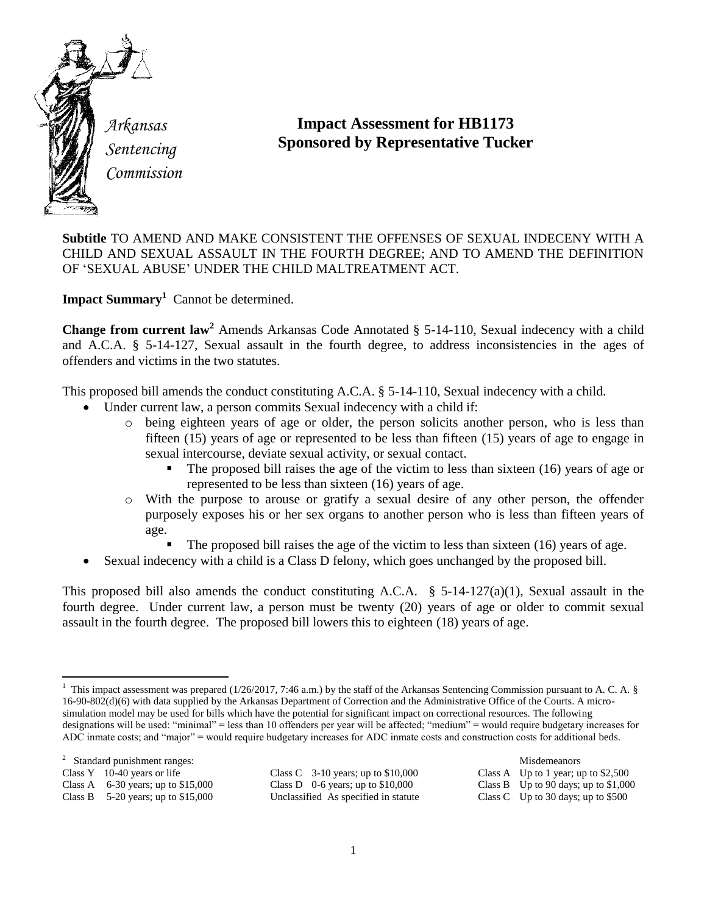

*Sentencing Commission*

## **Impact Assessment for HB1173 Sponsored by Representative Tucker**

**Subtitle** TO AMEND AND MAKE CONSISTENT THE OFFENSES OF SEXUAL INDECENY WITH A CHILD AND SEXUAL ASSAULT IN THE FOURTH DEGREE; AND TO AMEND THE DEFINITION OF 'SEXUAL ABUSE' UNDER THE CHILD MALTREATMENT ACT.

**Impact Summary<sup>1</sup>** Cannot be determined.

**Change from current law<sup>2</sup>** Amends Arkansas Code Annotated § 5-14-110, Sexual indecency with a child and A.C.A. § 5-14-127, Sexual assault in the fourth degree, to address inconsistencies in the ages of offenders and victims in the two statutes.

This proposed bill amends the conduct constituting A.C.A. § 5-14-110, Sexual indecency with a child.

- Under current law, a person commits Sexual indecency with a child if:
	- o being eighteen years of age or older, the person solicits another person, who is less than fifteen (15) years of age or represented to be less than fifteen (15) years of age to engage in sexual intercourse, deviate sexual activity, or sexual contact.
		- The proposed bill raises the age of the victim to less than sixteen (16) years of age or represented to be less than sixteen (16) years of age.
	- o With the purpose to arouse or gratify a sexual desire of any other person, the offender purposely exposes his or her sex organs to another person who is less than fifteen years of age.
		- The proposed bill raises the age of the victim to less than sixteen (16) years of age.
- Sexual indecency with a child is a Class D felony, which goes unchanged by the proposed bill.

This proposed bill also amends the conduct constituting A.C.A. § 5-14-127(a)(1), Sexual assault in the fourth degree. Under current law, a person must be twenty (20) years of age or older to commit sexual assault in the fourth degree. The proposed bill lowers this to eighteen (18) years of age.

<sup>2</sup> Standard punishment ranges: Misdemeanors

Class Y 10-40 years or life Class C 3-10 years; up to \$10,000 Class A Up to 1 year; up to \$2,500 Class A 6-30 years; up to \$15,000 Class D 0-6 years; up to \$10,000 Class B Up to 90 days; up to \$1,000 Class B 5-20 years; up to \$15,000 Unclassified As specified in statute Class C Up to 30 days; up to \$500 Unclassified As specified in statute

<sup>&</sup>lt;sup>1</sup> This impact assessment was prepared (1/26/2017, 7:46 a.m.) by the staff of the Arkansas Sentencing Commission pursuant to A. C. A. § 16-90-802(d)(6) with data supplied by the Arkansas Department of Correction and the Administrative Office of the Courts. A microsimulation model may be used for bills which have the potential for significant impact on correctional resources. The following designations will be used: "minimal" = less than 10 offenders per year will be affected; "medium" = would require budgetary increases for ADC inmate costs; and "major" = would require budgetary increases for ADC inmate costs and construction costs for additional beds.